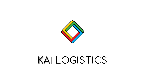

# KAI LOGISTICS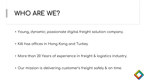### WHO ARE WE?

- Young, dynamic; passionate digital freight solution company.
- KAI has offices in Hong Kong and Turkey
- More than 20 Years of experience in freight & logistics industry.
- Our mission is delivering customer's freight safely & on time.

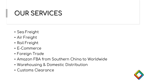## OUR SERVICES

- Sea Freight
- Air Freight
- Rail Freight
- E-Commerce
- Foreign Trade
- Amazon FBA from Southern China to Worldwide
- Warehousing & Domestic Distribution
- Customs Clearance

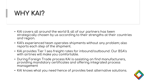### WHY KAI?

- KAI covers all around the world & all of our partners has been strategically chosen by us according to their strengths at their countries and region.
- KAI's experienced team operates shipments without any problem; also reports each step of the shipment.
- KAI provides Tier 1 sea freight rates for inbound/outbound. Our BSA's with airlines will make you comfortable.
- During Foreign Trade process KAI is assisting on find manufacturers, providing mandatory certificates and offering integrated process management
- KAI knows what you need hence of provides best alternative solutions.